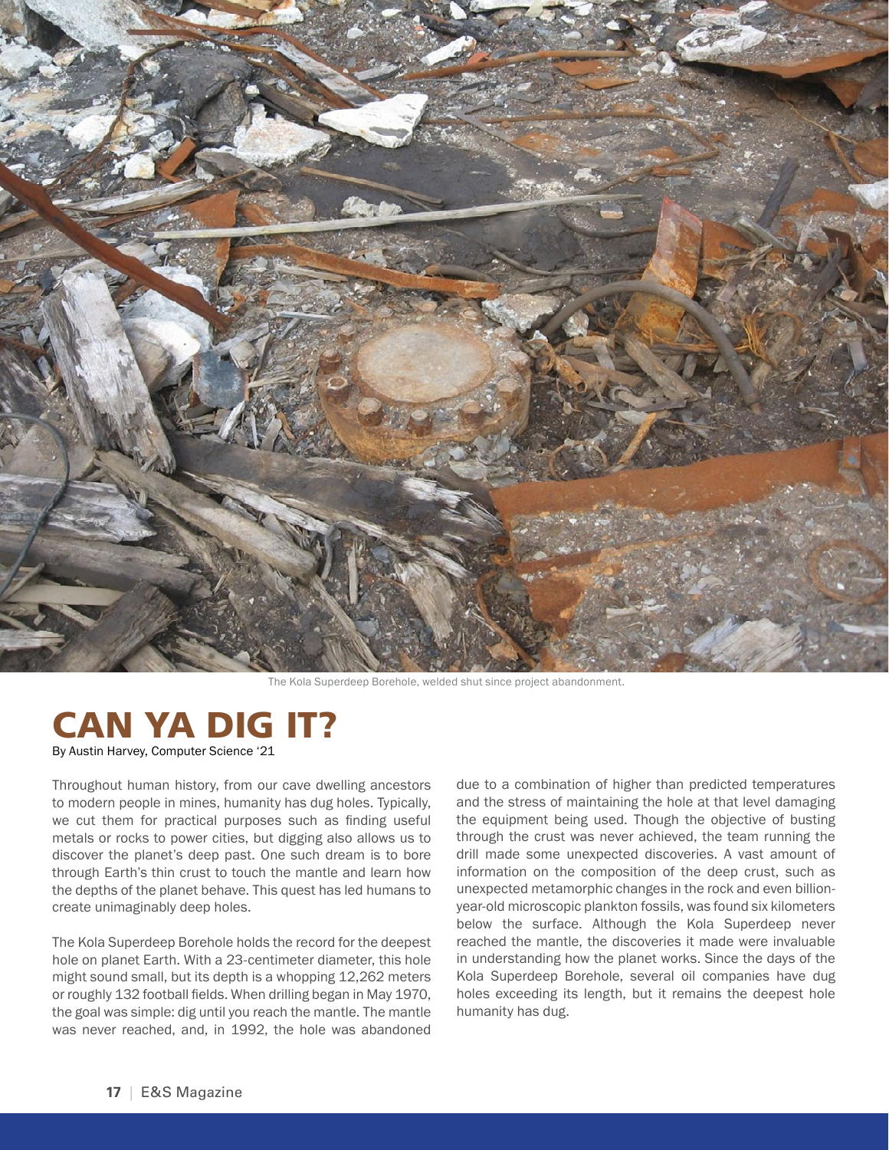

The Kola Superdeep Borehole, welded shut since project abandonment.

## CAN YA DIG IT? By Austin Harvey, Computer Science '21

Throughout human history, from our cave dwelling ancestors to modern people in mines, humanity has dug holes. Typically, we cut them for practical purposes such as finding useful metals or rocks to power cities, but digging also allows us to discover the planet's deep past. One such dream is to bore through Earth's thin crust to touch the mantle and learn how the depths of the planet behave. This quest has led humans to create unimaginably deep holes.

The Kola Superdeep Borehole holds the record for the deepest hole on planet Earth. With a 23-centimeter diameter, this hole might sound small, but its depth is a whopping 12,262 meters or roughly 132 football fields. When drilling began in May 1970, the goal was simple: dig until you reach the mantle. The mantle was never reached, and, in 1992, the hole was abandoned

due to a combination of higher than predicted temperatures and the stress of maintaining the hole at that level damaging the equipment being used. Though the objective of busting through the crust was never achieved, the team running the drill made some unexpected discoveries. A vast amount of information on the composition of the deep crust, such as unexpected metamorphic changes in the rock and even billionyear-old microscopic plankton fossils, was found six kilometers below the surface. Although the Kola Superdeep never reached the mantle, the discoveries it made were invaluable in understanding how the planet works. Since the days of the Kola Superdeep Borehole, several oil companies have dug holes exceeding its length, but it remains the deepest hole humanity has dug.